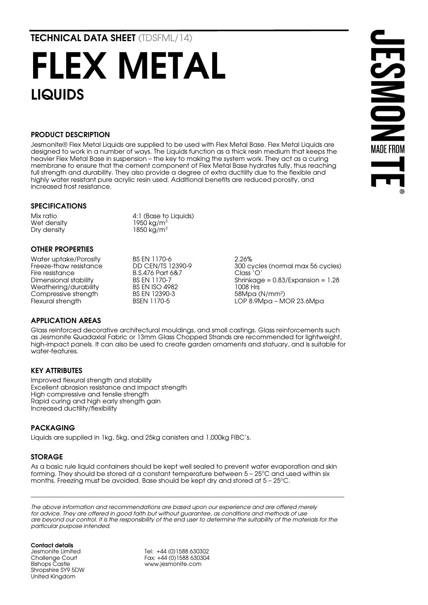TECHNICAL DATA SHEET (TDSFML/14)

# FLEX METAL LIQUIDS

#### PRODUCT DESCRIPTION

Jesmonite® Flex Metal Liquids are supplied to be used with Flex Metal Base. Flex Metal Liquids are designed to work in a number of ways. The Liquids function as a thick resin medium that keeps the heavier Flex Metal Base in suspension – the key to making the system work. They act as a curing membrane to ensure that the cement component of Flex Metal Base hydrates fully, thus reaching full strength and durability. They also provide a degree of extra ductility due to the flexible and highly water resistant pure acrylic resin used. Additional benefits are reduced porosity, and increased frost resistance.

#### SPECIFICATIONS

Wet densitv Dry density 1850 kg/m<sup>3</sup>

Mix ratio  $4:1$  (Base to Liquids)<br>Wet density  $1950 \text{ kg/m}^3$ 

## OTHER PROPERTIES

Water uptake/Porosity BS EN 1170-6 2.26% Fire resistance B.S.476 Part 6&7<br>1170-7 BS EN 1170-7 Weathering/durability BS EN ISO 4982 1008 Hrs<br>
Compressive strength BS EN 12390-3 58Mpa (N/mm<sup>2</sup>) Compressive strength BS EN 12390<br>Flexural strenath BSFN 1170-5

300 cycles (normal max 56 cycles)<br>Class `O' BS EN 1170-7 Shrinkage = 0.83/Expansion = 1.28<br>
BS EN ISO 4982 1008 Hrs Flexural strength BSEN 1170-5 LOP 8.9Mpa – MOR 23.6Mpa

**DESMON** 

**MADE FROM** 

#### APPLICATION AREAS

Glass reinforced decorative architectural mouldings, and small castings. Glass reinforcements such as Jesmonite Quadaxial Fabric or 13mm Glass Chopped Strands are recommended for lightweight, high-impact panels. It can also be used to create garden ornaments and statuary, and is suitable for water-features.

#### KEY ATTRIBUTES

Improved flexural strength and stability Excellent abrasion resistance and impact strength High compressive and tensile strength Rapid curing and high early strength gain Increased ductility/flexibility

#### PACKAGING

Liquids are supplied in 1kg, 5kg, and 25kg canisters and 1,000kg FIBC's.

#### STORAGE

As a basic rule liquid containers should be kept well sealed to prevent water evaporation and skin forming. They should be stored at a constant temperature between  $5 - 25^{\circ}$ C and used within six months. Freezing must be avoided. Base should be kept dry and stored at  $5 - 25^{\circ}$ C.

*The above information and recommendations are based upon our experience and are offered merely for advice. They are offered in good faith but without guarantee, as conditions and methods of use*  are beyond our control. It is the responsibility of the end user to determine the suitability of the materials for the *particular purpose intended.*

\_\_\_\_\_\_\_\_\_\_\_\_\_\_\_\_\_\_\_\_\_\_\_\_\_\_\_\_\_\_\_\_\_\_\_\_\_\_\_\_\_\_\_\_\_\_\_\_\_\_\_\_\_\_\_\_\_\_\_\_\_\_\_\_\_\_\_\_\_\_\_\_\_\_\_\_\_\_\_\_\_\_\_\_\_\_\_\_\_\_\_\_\_\_\_\_\_\_

Contact details Jesmonite Limited Challenge Court Bishops Castle Shropshire SY9 5DW United Kingdom

Tel: +44 (0)1588 630302 Fax: +44 (0)1588 630304 www.jesmonite.com